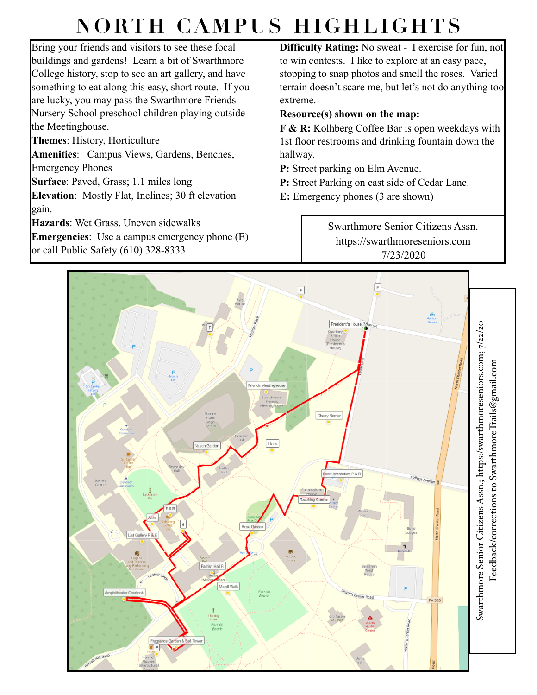## **NORTH CAMPUS HIGHLIGHTS**

Bring your friends and visitors to see these focal buildings and gardens! Learn a bit of Swarthmore College history, stop to see an art gallery, and have something to eat along this easy, short route. If you are lucky, you may pass the Swarthmore Friends Nursery School preschool children playing outside the Meetinghouse.

**Themes**: History, Horticulture

**Amenities**: Campus Views, Gardens, Benches, Emergency Phones

**Surface**: Paved, Grass; 1.1 miles long

**Elevation**: Mostly Flat, Inclines; 30 ft elevation gain.

**Hazards**: Wet Grass, Uneven sidewalks

**Emergencies**: Use a campus emergency phone (E) or call Public Safety (610) 328-8333

**Difficulty Rating:** No sweat - I exercise for fun, not to win contests. I like to explore at an easy pace, stopping to snap photos and smell the roses. Varied terrain doesn't scare me, but let's not do anything too extreme.

## **Resource(s) shown on the map:**

**F & R:** Kolhberg Coffee Bar is open weekdays with 1st floor restrooms and drinking fountain down the hallway.

**P:** Street parking on Elm Avenue.

**P:** Street Parking on east side of Cedar Lane.

**E:** Emergency phones (3 are shown)

Swarthmore Senior Citizens Assn. https://swarthmoreseniors.com 7/23/2020